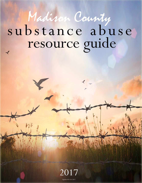## substance abuse resource guide Madison County

2017 Updated 03/16/2017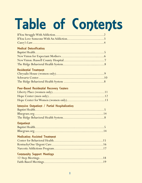# Table of Contents

| <b>Medical Detoxification</b>                         |
|-------------------------------------------------------|
| <b>Residential Treatment</b>                          |
| <b>Peer-Based Residential Recovery Centers</b>        |
| <b>Intensive Outpatient / Partial Hospitalization</b> |
| <b>Outpatient</b>                                     |
| <b>Medication Assisted Treatment</b>                  |
| <b>Community Support Meetings</b>                     |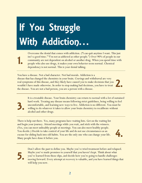## If You Struggle With Addiction…

Overcome the denial that comes with addiction. ("I can quit anytime I want. This just isn't a good time." "I'm not as addicted as other people.") Over 90% of people in our community are not dependent on alcohol or another drug. When you spend time with people who also use drugs, it makes your own behavior seem normal. Chemical dependency is not normal. This is your denial talking.

You have a disease. Not a bad character. Not bad morals. Addiction is a disease that has changed the chemistry in your brain. Cravings and withdrawal are very real symptoms of this disease, and they likely have caused you to make decisions that you wouldn't have made otherwise. In order to stop making bad decisions, you have to treat the disease. You are not a bad person, you are a person with a disease.

> It is a treatable disease. Your brain chemistry can return to normal with a lot of sustained hard work. Treating any disease means following strict guidelines, being willing to feel uncomfortable, and learning new ways to live. Addiction is no different. You must be willing to do whatever it takes to allow your brain chemistry to recalibrate without alcohol and other drugs.

There is help out there. Yes, many programs have waiting lists. Get on the waiting list and begin your journey. Attend meetings while you wait, and stick with the winners. (Yes, you can meet unhealthy people at meetings. You can also meet healthy people. You decide.) Decide to take control of your life and do not use circumstances as an excuse for sliding back into old habits. You are the only one who can change your life. Many people have done it before you.



2.

5.

1.

3.

Don't allow the past to define you. Maybe you've tried treatment before and relapsed. Maybe you've made promises to yourself that you haven't kept. Think about what you've learned from those slips, and decide how you're going to handle challenges moving forward. Every attempt at recovery is valuable, and you have learned things that will help you now.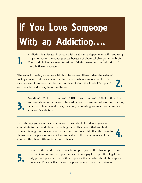## If You Love Someone With an Addiction....

Addiction is a disease. A person with a substance dependency will keep using drugs no matter the consequences because of chemical changes in the brain. Their bad choices are manifestations of their disease, not an indication of a morally flawed character.

The rules for loving someone with this disease are different than the rules of loving someone with cancer or the flu. Usually, when someone we love is sick, we step in to ease their burden. With addiction, this kind of "support" only enables and strengthens the disease.

> You didn't CAUSE it, you can't CURE it, and you can't CONTROL it. You are powerless over someone else's addiction. No amount of love, motivation, generosity, firmness, despair, pleading, negotiating, or anger will eliminate someone's addiction.

Even though you cannot cause someone to use alcohol or drugs, you can contribute to their addiction by enabling them. This means that you find yourself taking more responsibility for your loved one's life than they take for themselves. If a person does not have to deal with the consequences of their choices, they have little motivation to change.



2.

5.

1.

3.

If you feel the need to offer financial support, only offer that support toward treatment and recovery opportunities. Do not pay for cigarettes, legal fines, rent, gas, cell phones or any other expenses that an adult should be expected to manage. Be clear that the only support you will offer is treatment.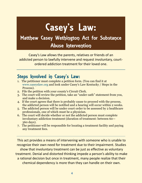## Casey's Law:

### Matthew Casey Wethington Act for Substance **Abuse Intervention**

Casey's Law allows the parents, relatives or friends of an addicted person to lawfully intervene and request involuntary, courtordered addiction treatment for their loved one.

### Steps Involved in Casey's Law:

- 1. The petitioner must complete a petition form. (You can find it at www.caseyslaw.org and look under Casey's Law Kentucky / Steps in the Process).
- 2. File the petition with your county's Circuit Clerk.
- 3. The court will review the petition, take an "under oath" statement from you, and make a decision.
- 4. If the court agrees that there is probably cause to proceed with the process, the addicted person will be notified and a hearing will occur within 2 weeks.
- 5. The addicted person will be under court order to be assessed by 2 healthcare professionals, one of which must be a physician.
- 6. The court will decide whether or not the addicted person must complete involuntary addiction treatment (duration of treatment: between 60— 360 days).
- 7. The petitioner will be responsible for locating a treatment facility and paying any treatment fees.

This act provides a means of intervening with someone who is unable to recognize their own need for treatment due to their impairment. Studies show that involuntary treatment can be just as effective as voluntary treatment. Denial and distorted thinking impede a person's ability to make a rational decision but once in treatment, many people realize that their chemical dependency is more than they can handle on their own.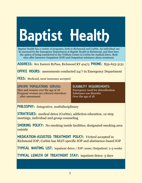# Baptist Health

Baptist Health has a variety of programs, both in Richmond and Corbin. An individual can be assessed by the Emergency Department at Baptist Health in Richmond, and then have the option of being transferred to the Trillium Center in Corbin for medical detox. Both sites offer Intensive Outpatient (IOP) and Outpatient substance abuse treatment.

ADDRESS: 801 Eastern ByPass, Richmond KY 40475 PHONE: 859-623-3131

**OFFICE HOURS:** assessments conducted 24/7 in Emergency Department

**FEES:** Medicaid, most insurance accepted

SPECIFIC POPULATIONS SERVED: Men and women over the age of 18 Pregnant women are referred elsewhere after assessment

ELIGIBILITY REQUIREMENTS:

Emergency need for detoxification Substance use disorder Over the age of 18

PHILOSPHY: Integrative, multidisciplinary

STRATEGIES: medical detox (Corbin), addiction education, 12-step meetings, individual and group counseling

SMOKING POLICY: No smoking inside facilities; designated smoking area outside

MEDICATION-ASSISTED TREATMENT POLICY: Vivitrol accepted in Richmond IOP; Corbin has MAT-specific IOP and abstinence-based IOP

TYPICAL WAITING LIST: inpatient detox / IOP: none; Outpatient: 2-3 weeks

TYPICAL LENGTH OF TREATMENT STAY: inpatient detox: 3 days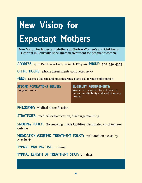## New Vision for Expectant Mothers

New Vision for Expectant Mothers at Norton Women's and Children's Hospital in Louisville specializes in treatment for pregnant women.

ADDRESS: 4001 Dutchmans Lane, Louisville KY 40207 PHONE: 502-559-4375

**OFFICE HOURS:** phone assessments conducted 24/7

**FEES:** accepts Medicaid and most insurance plans; call for more information

SPECIFIC POPULATIONS SERVED: Pregnant women

ELIGIBILITY REQUIREMENTS: Women are screened by a clinician to determine eligibility and level of service needed

PHILOSPHY: Medical detoxification

STRATEGIES: medical detoxification, discharge planning

SMOKING POLICY: No smoking inside facilities; designated smoking area outside

MEDICATION-ASSISTED TREATMENT POLICY: evaluated on a case-bycase basis

TYPICAL WAITING LIST: minimal

TYPICAL LENGTH OF TREATMENT STAY: 2-5 days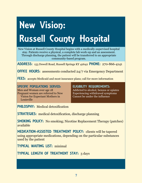## New Vision: Russell County Hospital

New Vision at Russell County Hospital begins with a medically-supervised hospital stay. Patients receive a physical, a complete lab work-up and an assessment. Through discharge planning, the patient will be transferred to an appropriate community-based program.

ADDRESS: 153 Dowell Road, Russell Springs KY 42642 PHONE: 270-866-4141

**OFFICE HOURS:** assessments conducted 24/7 via Emergency Department

**FEES:** accepts Medicaid and most insurance plans; call for more information

#### SPECIFIC POPULATIONS SERVED:

Men and Woman over age 18 Pregnant women are referred to New Vision for Expectant Mothers in Louisville

#### ELIGIBILITY REQUIREMENTS:

Addicted to alcohol, benzos or opiates Experiencing withdrawal symptoms Cannot be under the influence

PHILOSPHY: Medical detoxification

STRATEGIES: medical detoxification, discharge planning

SMOKING POLICY: No smoking; Nicotine Replacement Therapy (patches) available

MEDICATION-ASSISTED TREATMENT POLICY: clients will be tapered using appropriate medications, depending on the particular substances used by the patient

TYPICAL WAITING LIST: minimal

TYPICAL LENGTH OF TREATMENT STAY: 3 days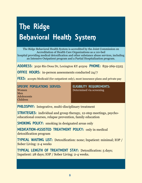### The Ridge Behavioral Health System

The Ridge Behavioral Health System is accredited by the Joint Commission on Accreditation of Health Care Organizations as a 110-bed hospital providing medical detoxification and other substance abuse services, including an Intensive Outpatient program and a Partial Hospitalization program.

ADDRESS: 3050 Rio Dosa Dr, Lexington KY 40509 PHONE: 859-269-2325

**OFFICE HOURS:** in-person assessments conducted 24/7

**FEES:** accepts Medicaid (for outpatient only), most insurance plans and private pay

#### SPECIFIC POPULATIONS SERVED: Women Men

**Adolescents** Children

ELIGIBILITY REQUIREMENTS: Determined via screening

PHILOSPHY: Integrative, multi-disciplinary treatment

STRATEGIES: individual and group therapy, 12-step meetings, psychoeducational courses, relapse prevention, family education

SMOKING POLICY: smoking in designated areas only

MEDICATION-ASSISTED TREATMENT POLICY: only in medical detoxification program

TYPICAL WAITING LIST: Detoxification: none; Inpatient: minimal; IOP / Sober Living: 2-4 weeks

TYPICAL LENGTH OF TREATMENT STAY: Detoxification: 5 days; Inpatient: 28 days; IOP / Sober Living: 2-4 weeks.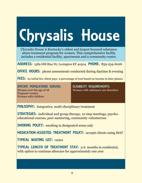# Chrysalis House

Chrysalis House is Kentucky's oldest and largest licensed substance abuse treatment program for women. This comprehensive facility includes a residential facility, apartments and a community center.

ADDRESS: 1589 Hill Rise Dr, Lexington KY 40504 PHONE: 859-254-6026

**OFFICE HOURS:** phone assessments conducted during daytime & evening

**FEES:** no initial fee; client pays a percentage of rent based on income in later phases

SPECIFIC POPULATIONS SERVED: Women over the age of 18 Pregnant women Woman with children

ELIGIBILITY REQUIREMENTS: Women with substance use disorders

PHILOSPHY: Integrative, multi-disciplinary treatment

STRATEGIES: individual and group therapy, 12-step meetings, psychoeducational courses, peer mentoring, community volunteerisn

SMOKING POLICY: smoking in designated areas only

MEDICATION-ASSISTED TREATMENT POLICY: accepts clients using MAT

TYPICAL WAITING LIST: varies

TYPICAL LENGTH OF TREATMENT STAY: 3-6 months in residential, with option to continue aftercare for approximately one year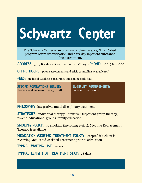## Schwartz Center

The Schwartz Center is an program of bluegrass.org. This 16-bed program offers detoxification and a 28-day inpatient substance abuse treatment.

ADDRESS: 3479 Buckhorn Drive, Ste 106, Lex KY 40511 PHONE: 800-928-8000

**OFFICE HOURS:** phone assessments and crisis counseling available 24/7

FEES: Medicaid, Medicare, insurance and sliding scale fees

SPECIFIC POPULATIONS SERVED: Women and men over the age of 18 ELIGIBILITY REQUIREMENTS: Substance use disorder

PHILOSPHY: Integrative, multi-disciplinary treatment

STRATEGIES: individual therapy, Intensive Outpatient group therapy, psycho-educational groups, family education

SMOKING POLICY: no smoking (including e-cigs). Nicotine Replacement Therapy is available

MEDICATION-ASSISTED TREATMENT POLICY: accepted if a client is receiving Medicated Assisted Treatment prior to admission

TYPICAL WAITING LIST: varies

TYPICAL LENGTH OF TREATMENT STAY: 28 days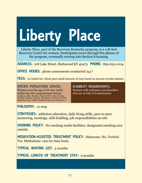# Liberty Place

Liberty Place, part of the Recovery Kentucky program, is a 108-bed Recovery Center for women. Participants move through five phases of the program, eventually moving into Section 8 housing.

ADDRESS: 218 Lake Street, Richmond KY 40475 PHONE: 859-625-0104

**OFFICE HOURS:** phone assessments conducted 24/7

**FEES:** no initial fee; client pays small amount of rent based on income in later phases

#### SPECIFIC POPULATIONS SERVED:

Women over the age of 18 who reside within the 6th congressional district (Anderson, Bath, Bourbon, Clark, Estill, Fayette, Fleming, Franklin, Madison, Menifee, Montgomery, Nicholas, Powell, Robertson, Scott, Wolfe, Woodford, Harrison, Jessamine.)

#### ELIGIBILITY REQUIREMENTS:

Women with substance use disorders who are at risk of homelessness

PHILOSPHY: 12-step

STRATEGIES: addiction education, daily living skills, peer-to-peer mentoring, meetings, skill-building, job responsibilities on-site

SMOKING POLICY: No smoking inside facilities; designated smoking area outside

MEDICATION-ASSISTED TREATMENT POLICY: Suboxone: No. Vivitrol: Yes. Methadone: case-by-base basis.

TYPICAL WAITING LIST: 3 months

TYPICAL LENGTH OF TREATMENT STAY: 9 months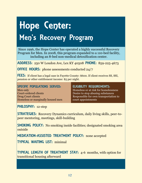## Hope Center: Men's Recovery Program

Since 1996, the Hope Center has operated a highly successful Recovery Program for Men. In 2008, this program expanded to a 110-bed facility, including an 8-bed non-medical detoxification center.

ADDRESS: 250 W Loudon Ave, Lex KY 40508 PHONE: 859-225-4673

**OFFICE HOURS:** phone assessments conducted 24/7

FEES: If client has a legal case in Fayette County: \$600. If client receives SS, SSI, pension or other entitlement income: \$5 per night.

SPECIFIC POPULATIONS SERVED:

Men only Court-ordered clients Drug Court clients Homeless or marginally housed men

#### ELIGIBILITY REQUIREMENTS:

Homeless or at risk for homelessness Desire to stop abusing substances Responsible for own transportation to court appointments

PHILOSPHY: 12-step

STRATEGIES: Recovery Dynamics curriculum, daily living skills, peer-topeer mentoring, meetings, skill-building

SMOKING POLICY: No smoking inside facilities; designated smoking area outside

MEDICATION-ASSISTED TREATMENT POLICY: none accepted

TYPICAL WAITING LIST: minimal

TYPICAL LENGTH OF TREATMENT STAY: 4-6 months, with option for transitional housing afterward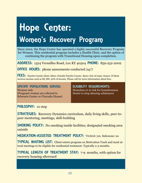## Hope Center: Women's Recovery Program

Since 2002, the Hope Center has operated a highly successful Recovery Program for Women. This residential program includes a Health Clinic, and the option of continuing the program with Transitional Housing upon completion.

ADDRESS: 1524 Versailles Road, Lex KY 40504 PHONE: 859-252-2002

**OFFICE HOURS:** phone assessments conducted 24/7

FEES: Favette County client: \$600; Outside Fayette County: \$900; Out-of-state: \$2500. If client receives income such as SS, SSI: 30% of income. Please call for more information about fees.

SPECIFIC POPULATIONS SERVED: Women only (Pregnant women are referred to Schwartz Center or Chrysalis House) ELIGIBILITY REQUIREMENTS: Homeless or at risk for homelessness Desire to stop abusing substances

PHILOSPHY: 12-step

STRATEGIES: Recovery Dynamics curriculum, daily living skills, peer-topeer mentoring, meetings, skill-building

SMOKING POLICY: No smoking inside facilities; designated smoking area outside

MEDICATION-ASSISTED TREATMENT POLICY: Vivitrol: yes. Suboxone: no

TYPICAL WAITING LIST: Client enters program on Motivation Track and must attend meetings to be eligible for residential treatment. Typically 2-3 months.

TYPICAL LENGTH OF TREATMENT STAY: 7-9 months, with option for recovery housing afterward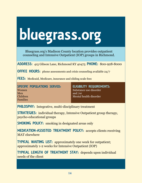## bluegrass.org

Bluegrass.org's Madison County location provides outpatient counseling and Intensive Outpatient (IOP) groups in Richmond.

ADDRESS: 415 Gibson Lane, Richmond KY 40475 PHONE: 800-928-8000

**OFFICE HOURS:** phone assessments and crisis counseling available 24/7

FEES: Medicaid, Medicare, insurance and sliding scale fees

#### SPECIFIC POPULATIONS SERVED: Women Men Children Families

ELIGIBILITY REQUIREMENTS: Substance use disorder and /or Mental health disorder

PHILOSPHY: Integrative, multi-disciplinary treatment

STRATEGIES: individual therapy, Intensive Outpatient group therapy, psycho-educational groups

SMOKING POLICY: smoking in designated areas only

MEDICATION-ASSISTED TREATMENT POLICY: accepts clients receiving MAT elsewhere

TYPICAL WAITING LIST: approximately one week for outpatient; approximately 1-2 weeks for Intensive Outpatient (IOP)

TYPICAL LENGTH OF TREATMENT STAY: depends upon individual needs of the client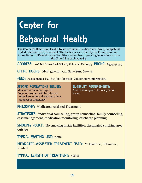## **Center for** Behavioral Health

The Center for Behavioral Health treats substance use disorders through outpatient Medicated-Assisted Treatment. The facility is accredited by the Commission on Accreditation of Rehabilitation Facilities and has been operating in locations across the United States since 1984.

ADDRESS: 1018 Ival James Blvd, Suite C, Richmond KY 40475 PHONE: 859-575-1323

OFFICE HOURS: M-F: 5a—12:30p; Sat –Sun: 6a—7a.

FEES: Assessments: \$50. \$15/day for meds. Call for more information.

SPECIFIC POPULATIONS SERVED: Men and women over age 18 Pregnant women will be referred

elsewhere unless already a patient

at onset of pregnancy

ELIGIBILITY REQUIREMENTS: Addicted to opiates for one year or longer

PHILOSPHY: Medicated-Assisted Treatment

STRATEGIES: individual counseling, group counseling, family counseling, case management, medication monitoring, discharge planning

SMOKING POLICY: No smoking inside facilities; designated smoking area outside

TYPICAL WAITING LIST: none

MEDICATED-ASSISSTED TREATMENT USED: Methadone, Suboxone, Vivitrol

TYPICAL LENGTH OF TREATMENT: varies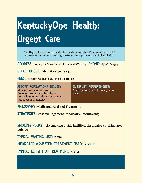## KentuckyOne Health: Urgent Care

This Urgent Care clinic provides Medication-Assisted Treatment (Vivitrol / naltrexone) for patients seeking treatment for opiate and alcohol addiction.

ADDRESS: 103 Alycia Drive, Suite 2, Richmond KY 40475 PHONE: 859-626-0554

OFFICE HOURS: M-F: 8:00a—7:00p

FEES: Accepts Medicaid and most insurance

SPECIFIC POPULATIONS SERVED: Men and women over age 18 Pregnant women will be referred elsewhere unless already a patient at onset of pregnancy

ELIGIBILITY REQUIREMENTS: Addicted to opiates for one year or longer

PHILOSPHY: Medicated-Assisted Treatment

STRATEGIES: case management, medication monitoring

SMOKING POLICY: No smoking inside facilities; designated smoking area outside

TYPICAL WAITING LIST: none

MEDICATED-ASSISSTED TREATMENT USED: Vivitrol

TYPICAL LENGTH OF TREATMENT: varies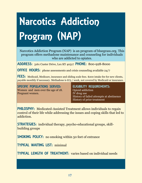## Narcotics Addiction Program (NAP)

Narcotics Addiction Program (NAP) is an program of bluegrass.org. This program offers methadone maintenance and counseling for individuals who are addicted to opiates.

ADDRESS: 3161 Custer Drive, Lex KY 40517 PHONE: 800-928-8000

**OFFICE HOURS:** phone assessments and crisis counseling available 24/7

FEES: Medicaid, Medicare, insurance and sliding scale fees. \$200 intake fee for new clients, payable monthly if necessary. Methadone is \$75 / week, not covered by Medicaid or insurance.

SPECIFIC POPULATIONS SERVED: Women and men over the age of 18. Pregnant women.

ELIGIBILITY REQUIREMENTS: Opioid addiction IV drug use History of failed attempts at abstinence History of prior treatment

PHILOSPHY: Medicated-Assisted Treatment allows individuals to regain control of their life while addressing the issues and coping skills that led to addiction.

STRATEGIES: individual therapy, psycho-educational groups, skillbuilding groups

SMOKING POLICY: no smoking within 50 feet of entrance

TYPICAL WAITING LIST: minimal

TYPICAL LENGTH OF TREATMENT: varies based on individual needs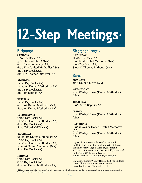# 12-Step Meetings\*

#### **Richmond**

**SUNDAY:** 1:00 Dry Dock (AA) 3:00: Telford YMCA (NA) 6:00 Salvation Army (AA) 6:00 First United Methodist (NA) 8:00 Dry Dock (AA) 8:00: St Thomas Lutheran (AA)

#### **MONDAY:**

12:00 Dry Dock (AA) 12:00 1st United Methodist (AA) 8:00 Dry Dock (AA) 8:00 1st Baptist (AA)

#### **TUESDAY:**

12:00 Dry Dock (AA) 6:00 1st United Methodist (NA) 8:00 1st United Methodist (AA)

#### **WEDNESDAY:**

12:00 Dry Dock (AA) 12:00 1st United Methodist (AA) 8:00 Dry Dock (AA) 8:00 Telford YMCA (AA)

#### **THURSDAY:**

6:30a: 1st United Methodist (AA) 12:00 Dry Dock (AA) 12:00 1st United Methodist (AA) 7:00 1st United Methodist (NA) 8:00 Dry Dock (AA)

#### **FRIDAY:**

12:00 Dry Dock (AA) 8:00 Dry Dock (AA) 8:00 1st United Methodist (AA)

#### Richmond cont…

**SATURDAY:** 12:00 Dry Dock (AA) 6:00 First United Methodist (NA) 8:00 Dry Dock (AA) 8:00: St Thomas Lutheran (AA)

#### Berea

**MONDAY:** 7:00 Union Church (AA)

**WEDNESDAY:** 7:00 Wesley House (United Methodist) (NA)

**THURSDAY:** 8:00 Berea Baptist (AA)

#### **FRIDAY:**

7:00 Wesley House (United Methodist) (NA)

**SATURDAY:** 8:00a: Wesley House (United Methodist) (AA) 7:00 Wesley House (United Methodist) (NA)

Dry Dock: 262 Four Mile Road, Richmond 1st United Methodist: 401 W Main St, Richmond Salvation Army: 1675 E Main St, Richmond St Thomas Lutheran: 1285 Barnes Mill, Richmond 1st Baptist: 425 Eastern Bypass Telford YMCA: 1100 E Main St, Richmond

United Methodist Wesley House: 202 Fee St Berea Union Church: 200 Prospect St, Berea Berea Baptist: 310 Chestnut Street

\*12-Step meetings (Alcoholics Anonymous / Narcotics Anonymous) are self-help support groups . They last approximately one hour, and participants commit to keeping the anonymity of other participants.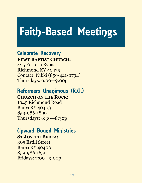## Faith-Based Meetings

### Celebrate Recovery

**FIRST BAPTIST CHURCH:** 425 Eastern Bypass Richmond KY 40475 Contact: Nikki (859-421-0794) Thursdays: 6:00—9:00p

### Reformers Unanimous (R.U.)

**CHURCH ON THE ROCK:**

1049 Richmond Road Berea KY 40403 859-986-1899 Thursdays: 6:30—8:30p

### Upward Bound Ministries

#### **ST JOSEPH BEREA:**

305 Estill Street Berea KY 40403 859-986-1650 Fridays: 7:00—9:00p